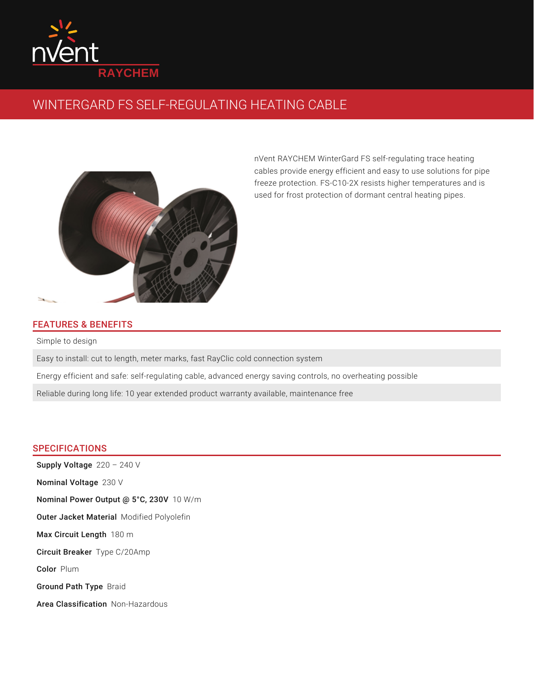

## WINTERGARD FS SELF-REGULATING HEATING CABLE



nVent RAYCHEM WinterGard FS self-regulating trace heating cables provide energy efficient and easy to use solutions for pipe freeze protection. FS-C10-2X resists higher temperatures and is used for frost protection of dormant central heating pipes.

## FEATURES & BENEFITS

Simple to design

Easy to install: cut to length, meter marks, fast RayClic cold connection system

Energy efficient and safe: self-regulating cable, advanced energy saving controls, no overheating possible

Reliable during long life: 10 year extended product warranty available, maintenance free

## **SPECIFICATIONS**

Supply Voltage  $220 - 240$  V Nominal Voltage 230 V **Nominal Power Output @ 5°C, 230V** 10 W/m Outer Jacket Material Modified Polyolefin Max Circuit Length 180 m Circuit Breaker Type C/20Amp Color Plum Ground Path Type Braid

Area Classification Non-Hazardous